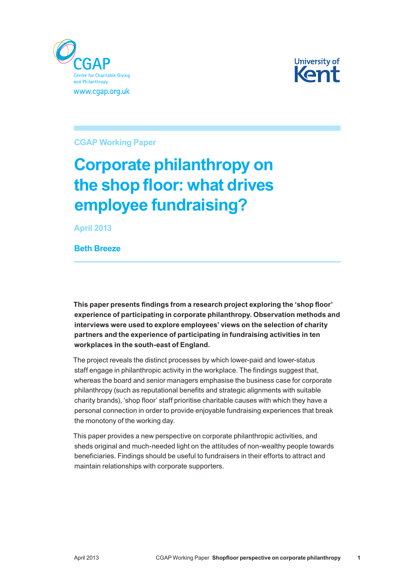



**CGAP Working Paper**

# **Corporate philanthropy on the shop floor: what drives employee fundraising?**

**April 2013**

**Beth Breeze**

**This paper presents findings from a research project exploring the 'shop floor' experience of participating in corporate philanthropy. Observation methods and interviews were used to explore employees' views on the selection of charity partners and the experience of participating in fundraising activities in ten workplaces in the south‑east of England.**

The project reveals the distinct processes by which lower-paid and lower-status staff engage in philanthropic activity in the workplace. The findings suggest that, whereas the board and senior managers emphasise the business case for corporate philanthropy (such as reputational benefits and strategic alignments with suitable charity brands), 'shop floor' staff prioritise charitable causes with which they have a personal connection in order to provide enjoyable fundraising experiences that break the monotony of the working day.

This paper provides a new perspective on corporate philanthropic activities, and sheds original and much-needed light on the attitudes of non-wealthy people towards beneficiaries. Findings should be useful to fundraisers in their efforts to attract and maintain relationships with corporate supporters.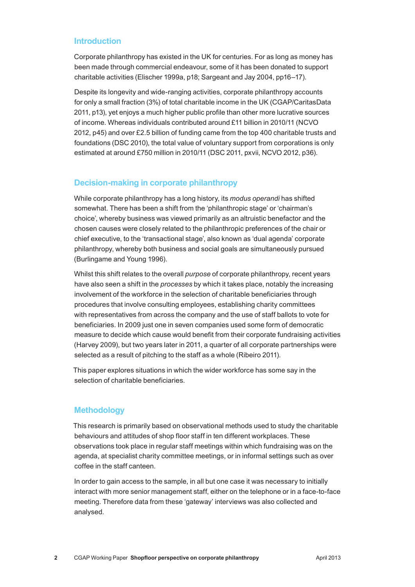#### **Introduction**

Corporate philanthropy has existed in the UK for centuries. For as long as money has been made through commercial endeavour, some of it has been donated to support charitable activities (Elischer 1999a, p18; Sargeant and Jay 2004, pp16–17).

Despite its longevity and wide‑ranging activities, corporate philanthropy accounts for only a small fraction (3%) of total charitable income in the UK (CGAP/CaritasData 2011, p13), yet enjoys a much higher public profile than other more lucrative sources of income. Whereas individuals contributed around £11 billion in 2010/11 (NCVO 2012, p45) and over £2.5 billion of funding came from the top 400 charitable trusts and foundations (DSC 2010), the total value of voluntary support from corporations is only estimated at around £750 million in 2010/11 (DSC 2011, pxvii, NCVO 2012, p36).

## **Decision‑making in corporate philanthropy**

While corporate philanthropy has a long history, its *modus operandi* has shifted somewhat. There has been a shift from the 'philanthropic stage' or 'chairman's choice', whereby business was viewed primarily as an altruistic benefactor and the chosen causes were closely related to the philanthropic preferences of the chair or chief executive, to the 'transactional stage', also known as 'dual agenda' corporate philanthropy, whereby both business and social goals are simultaneously pursued (Burlingame and Young 1996).

Whilst this shift relates to the overall *purpose* of corporate philanthropy, recent years have also seen a shift in the *processes* by which it takes place, notably the increasing involvement of the workforce in the selection of charitable beneficiaries through procedures that involve consulting employees, establishing charity committees with representatives from across the company and the use of staff ballots to vote for beneficiaries. In 2009 just one in seven companies used some form of democratic measure to decide which cause would benefit from their corporate fundraising activities (Harvey 2009), but two years later in 2011, a quarter of all corporate partnerships were selected as a result of pitching to the staff as a whole (Ribeiro 2011).

This paper explores situations in which the wider workforce has some say in the selection of charitable beneficiaries.

#### **Methodology**

This research is primarily based on observational methods used to study the charitable behaviours and attitudes of shop floor staff in ten different workplaces. These observations took place in regular staff meetings within which fundraising was on the agenda, at specialist charity committee meetings, or in informal settings such as over coffee in the staff canteen.

In order to gain access to the sample, in all but one case it was necessary to initially interact with more senior management staff, either on the telephone or in a face-to-face meeting. Therefore data from these 'gateway' interviews was also collected and analysed.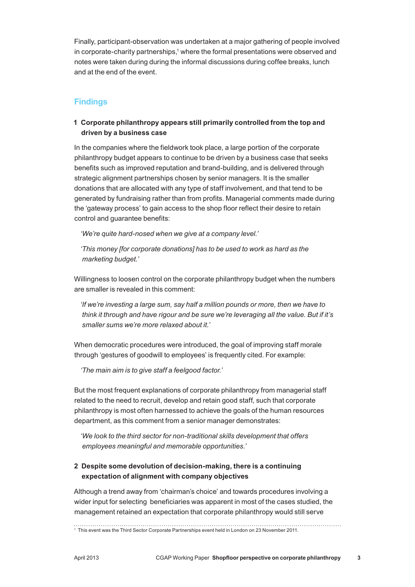Finally, participant‑observation was undertaken at a major gathering of people involved in corporate-charity partnerships,<sup>1</sup> where the formal presentations were observed and notes were taken during during the informal discussions during coffee breaks, lunch and at the end of the event.

# **Findings**

#### **1 Corporate philanthropy appears still primarily controlled from the top and driven by a business case**

In the companies where the fieldwork took place, a large portion of the corporate philanthropy budget appears to continue to be driven by a business case that seeks benefits such as improved reputation and brand‑building, and is delivered through strategic alignment partnerships chosen by senior managers. It is the smaller donations that are allocated with any type of staff involvement, and that tend to be generated by fundraising rather than from profits. Managerial comments made during the 'gateway process' to gain access to the shop floor reflect their desire to retain control and guarantee benefits:

*'We're quite hard‑nosed when we give at a company level.'*

*'This money [for corporate donations] has to be used to work as hard as the marketing budget.'*

Willingness to loosen control on the corporate philanthropy budget when the numbers are smaller is revealed in this comment:

*'If we're investing a large sum, say half a million pounds or more, then we have to think it through and have rigour and be sure we're leveraging all the value. But if it's smaller sums we're more relaxed about it.'*

When democratic procedures were introduced, the goal of improving staff morale through 'gestures of goodwill to employees' is frequently cited. For example:

*'The main aim is to give staff a feelgood factor.'*

But the most frequent explanations of corporate philanthropy from managerial staff related to the need to recruit, develop and retain good staff, such that corporate philanthropy is most often harnessed to achieve the goals of the human resources department, as this comment from a senior manager demonstrates:

*'We look to the third sector for non‑traditional skills development that offers employees meaningful and memorable opportunities.'*

## **2 Despite some devolution of decision-making, there is a continuing expectation of alignment with company objectives**

Although a trend away from 'chairman's choice' and towards procedures involving a wider input for selecting beneficiaries was apparent in most of the cases studied, the management retained an expectation that corporate philanthropy would still serve

<sup>1</sup> This event was the Third Sector Corporate Partnerships event held in London on 23 November 2011.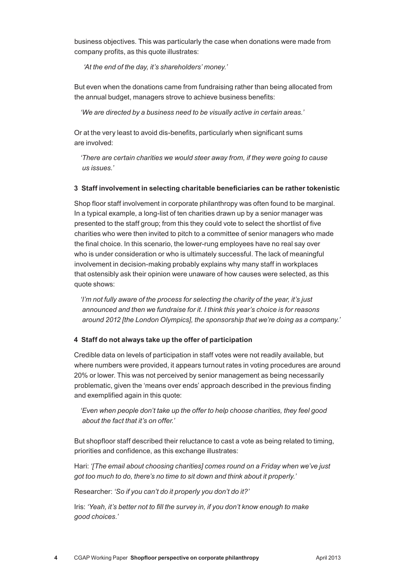business objectives. This was particularly the case when donations were made from company profits, as this quote illustrates:

 *'At the end of the day, it's shareholders' money.'*

But even when the donations came from fundraising rather than being allocated from the annual budget, managers strove to achieve business benefits:

*'We are directed by a business need to be visually active in certain areas.'*

Or at the very least to avoid dis‑benefits, particularly when significant sums are involved:

*'There are certain charities we would steer away from, if they were going to cause us issues.'*

#### **3 Staff involvement in selecting charitable beneficiaries can be rather tokenistic**

Shop floor staff involvement in corporate philanthropy was often found to be marginal. In a typical example, a long‑list of ten charities drawn up by a senior manager was presented to the staff group; from this they could vote to select the shortlist of five charities who were then invited to pitch to a committee of senior managers who made the final choice. In this scenario, the lower-rung employees have no real say over who is under consideration or who is ultimately successful. The lack of meaningful involvement in decision-making probably explains why many staff in workplaces that ostensibly ask their opinion were unaware of how causes were selected, as this quote shows:

*'I'm not fully aware of the process for selecting the charity of the year, it's just announced and then we fundraise for it. I think this year's choice is for reasons around 2012 [the London Olympics], the sponsorship that we're doing as a company.'*

#### **4 Staff do not always take up the offer of participation**

Credible data on levels of participation in staff votes were not readily available, but where numbers were provided, it appears turnout rates in voting procedures are around 20% or lower. This was not perceived by senior management as being necessarily problematic, given the 'means over ends' approach described in the previous finding and exemplified again in this quote:

*'Even when people don't take up the offer to help choose charities, they feel good about the fact that it's on offer.'*

But shopfloor staff described their reluctance to cast a vote as being related to timing, priorities and confidence, as this exchange illustrates:

Hari: *'[The email about choosing charities] comes round on a Friday when we've just got too much to do, there's no time to sit down and think about it properly.'*

Researcher: *'So if you can't do it properly you don't do it?'*

Iris: *'Yeah, it's better not to fill the survey in, if you don't know enough to make good choices.'*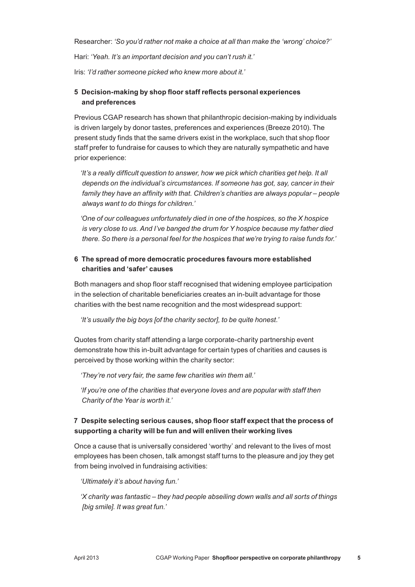Researcher: *'So you'd rather not make a choice at all than make the 'wrong' choice?'*

Hari: *'Yeah. It's an important decision and you can't rush it.'*

Iris: *'I'd rather someone picked who knew more about it.'*

#### **5 Decision‑making by shop floor staff reflects personal experiences and preferences**

Previous CGAP research has shown that philanthropic decision-making by individuals is driven largely by donor tastes, preferences and experiences (Breeze 2010). The present study finds that the same drivers exist in the workplace, such that shop floor staff prefer to fundraise for causes to which they are naturally sympathetic and have prior experience:

*'It's a really difficult question to answer, how we pick which charities get help. It all depends on the individual's circumstances. If someone has got, say, cancer in their family they have an affinity with that. Children's charities are always popular – people always want to do things for children.'*

*'One of our colleagues unfortunately died in one of the hospices, so the X hospice is very close to us. And I've banged the drum for Y hospice because my father died there. So there is a personal feel for the hospices that we're trying to raise funds for.'*

#### **6 The spread of more democratic procedures favours more established charities and 'safer' causes**

Both managers and shop floor staff recognised that widening employee participation in the selection of charitable beneficiaries creates an in‑built advantage for those charities with the best name recognition and the most widespread support:

*'It's usually the big boys [of the charity sector], to be quite honest.'*

Quotes from charity staff attending a large corporate‑charity partnership event demonstrate how this in‑built advantage for certain types of charities and causes is perceived by those working within the charity sector:

*'They're not very fair, the same few charities win them all.'*

*'If you're one of the charities that everyone loves and are popular with staff then Charity of the Year is worth it.'*

#### **7 Despite selecting serious causes, shop floor staff expect that the process of supporting a charity will be fun and will enliven their working lives**

Once a cause that is universally considered 'worthy' and relevant to the lives of most employees has been chosen, talk amongst staff turns to the pleasure and joy they get from being involved in fundraising activities:

*'Ultimately it's about having fun.'*

*'X charity was fantastic – they had people abseiling down walls and all sorts of things [big smile]. It was great fun.'*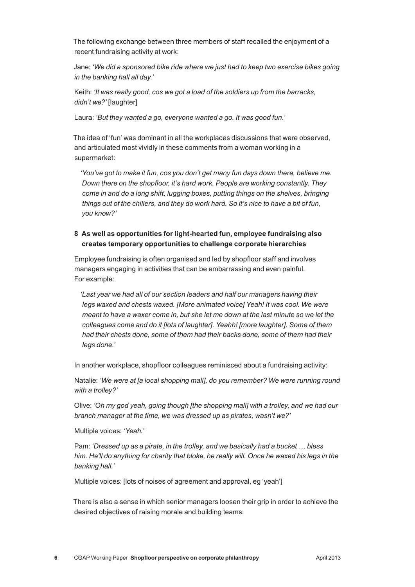The following exchange between three members of staff recalled the enjoyment of a recent fundraising activity at work:

Jane: *'We did a sponsored bike ride where we just had to keep two exercise bikes going in the banking hall all day.'*

Keith: *'It was really good, cos we got a load of the soldiers up from the barracks, didn't we?'* [laughter]

Laura: *'But they wanted a go, everyone wanted a go. It was good fun.'*

The idea of 'fun' was dominant in all the workplaces discussions that were observed, and articulated most vividly in these comments from a woman working in a supermarket:

*'You've got to make it fun, cos you don't get many fun days down there, believe me. Down there on the shopfloor, it's hard work. People are working constantly. They come in and do a long shift, lugging boxes, putting things on the shelves, bringing things out of the chillers, and they do work hard. So it's nice to have a bit of fun, you know?'*

#### **8 As well as opportunities for light‑hearted fun, employee fundraising also creates temporary opportunities to challenge corporate hierarchies**

Employee fundraising is often organised and led by shopfloor staff and involves managers engaging in activities that can be embarrassing and even painful. For example:

*'Last year we had all of our section leaders and half our managers having their legs waxed and chests waxed. [More animated voice] Yeah! It was cool. We were meant to have a waxer come in, but she let me down at the last minute so we let the colleagues come and do it [lots of laughter]. Yeahh! [more laughter]. Some of them had their chests done, some of them had their backs done, some of them had their legs done.'*

In another workplace, shopfloor colleagues reminisced about a fundraising activity:

Natalie: *'We were at [a local shopping mall], do you remember? We were running round with a trolley?'*

Olive: *'Oh my god yeah, going though [the shopping mall] with a trolley, and we had our branch manager at the time, we was dressed up as pirates, wasn't we?'*

Multiple voices: *'Yeah.'*

Pam: *'Dressed up as a pirate, in the trolley, and we basically had a bucket … bless him. He'll do anything for charity that bloke, he really will. Once he waxed his legs in the banking hall.'* 

Multiple voices: [lots of noises of agreement and approval, eg 'yeah']

There is also a sense in which senior managers loosen their grip in order to achieve the desired objectives of raising morale and building teams: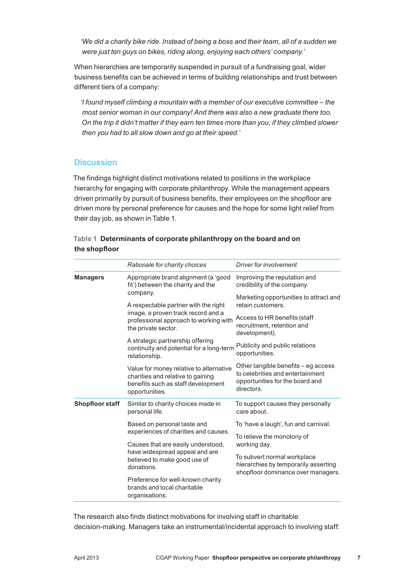*'We did a charity bike ride. Instead of being a boss and their team, all of a sudden we were just ten guys on bikes, riding along, enjoying each others' company.'*

When hierarchies are temporarily suspended in pursuit of a fundraising goal, wider business benefits can be achieved in terms of building relationships and trust between different tiers of a company:

*'I found myself climbing a mountain with a member of our executive committee – the most senior woman in our company! And there was also a new graduate there too. On the trip it didn't matter if they earn ten times more than you, if they climbed slower then you had to all slow down and go at their speed.'*

#### **Discussion**

The findings highlight distinct motivations related to positions in the workplace hierarchy for engaging with corporate philanthropy. While the management appears driven primarily by pursuit of business benefits, their employees on the shopfloor are driven more by personal preference for causes and the hope for some light relief from their day job, as shown in Table 1.

|               | Table 1 Determinants of corporate philanthropy on the board and on |
|---------------|--------------------------------------------------------------------|
| the shopfloor |                                                                    |

|                        | Rationale for charity choices                                                                                                        | Driver for involvement                                                                                                   |
|------------------------|--------------------------------------------------------------------------------------------------------------------------------------|--------------------------------------------------------------------------------------------------------------------------|
| <b>Managers</b>        | Appropriate brand alignment (a 'good<br>fit') between the charity and the                                                            | Improving the reputation and<br>credibility of the company.                                                              |
|                        | company.<br>A respectable partner with the right                                                                                     | Marketing opportunities to attract and<br>retain customers.                                                              |
|                        | image, a proven track record and a<br>professional approach to working with<br>the private sector.                                   | Access to HR benefits (staff<br>recruitment, retention and<br>development).                                              |
|                        | A strategic partnership offering<br>continuity and potential for a long-term<br>relationship.                                        | Publicity and public relations<br>opportunities.                                                                         |
|                        | Value for money relative to alternative<br>charities and relative to gaining<br>benefits such as staff development<br>opportunities. | Other tangible benefits - eg access<br>to celebrities and entertainment<br>opportunities for the board and<br>directors. |
| <b>Shopfloor staff</b> | Similar to charity choices made in<br>personal life.                                                                                 | To support causes they personally<br>care about.                                                                         |
|                        | Based on personal taste and<br>experiences of charities and causes.                                                                  | To 'have a laugh', fun and carnival.                                                                                     |
|                        |                                                                                                                                      | To relieve the monotony of                                                                                               |
|                        | Causes that are easily understood,<br>have widespread appeal and are<br>believed to make good use of<br>donations.                   | working day.                                                                                                             |
|                        |                                                                                                                                      | To subvert normal workplace<br>hierarchies by temporarily asserting<br>shopfloor dominance over managers.                |
|                        | Preference for well-known charity<br>brands and local charitable<br>organisations.                                                   |                                                                                                                          |

The research also finds distinct motivations for involving staff in charitable decision‑making. Managers take an instrumental/incidental approach to involving staff: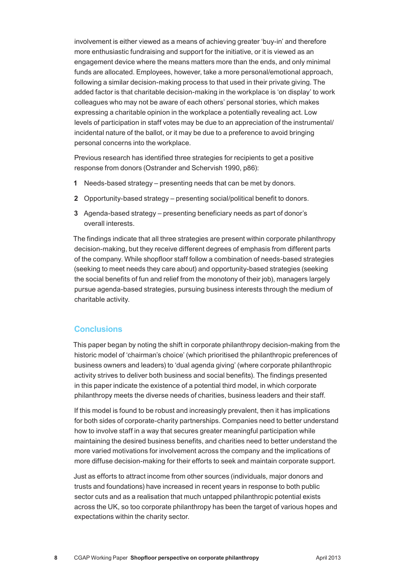involvement is either viewed as a means of achieving greater 'buy-in' and therefore more enthusiastic fundraising and support for the initiative, or it is viewed as an engagement device where the means matters more than the ends, and only minimal funds are allocated. Employees, however, take a more personal/emotional approach, following a similar decision-making process to that used in their private giving. The added factor is that charitable decision-making in the workplace is 'on display' to work colleagues who may not be aware of each others' personal stories, which makes expressing a charitable opinion in the workplace a potentially revealing act. Low levels of participation in staff votes may be due to an appreciation of the instrumental/ incidental nature of the ballot, or it may be due to a preference to avoid bringing personal concerns into the workplace.

Previous research has identified three strategies for recipients to get a positive response from donors (Ostrander and Schervish 1990, p86):

- **1** Needs‑based strategy presenting needs that can be met by donors.
- 2 Opportunity-based strategy presenting social/political benefit to donors.
- **3** Agenda‑based strategy presenting beneficiary needs as part of donor's overall interests.

The findings indicate that all three strategies are present within corporate philanthropy decision-making, but they receive different degrees of emphasis from different parts of the company. While shopfloor staff follow a combination of needs‑based strategies (seeking to meet needs they care about) and opportunity‑based strategies (seeking the social benefits of fun and relief from the monotony of their job), managers largely pursue agenda‑based strategies, pursuing business interests through the medium of charitable activity.

#### **Conclusions**

This paper began by noting the shift in corporate philanthropy decision-making from the historic model of 'chairman's choice' (which prioritised the philanthropic preferences of business owners and leaders) to 'dual agenda giving' (where corporate philanthropic activity strives to deliver both business and social benefits). The findings presented in this paper indicate the existence of a potential third model, in which corporate philanthropy meets the diverse needs of charities, business leaders and their staff.

If this model is found to be robust and increasingly prevalent, then it has implications for both sides of corporate‑charity partnerships. Companies need to better understand how to involve staff in a way that secures greater meaningful participation while maintaining the desired business benefits, and charities need to better understand the more varied motivations for involvement across the company and the implications of more diffuse decision-making for their efforts to seek and maintain corporate support.

Just as efforts to attract income from other sources (individuals, major donors and trusts and foundations) have increased in recent years in response to both public sector cuts and as a realisation that much untapped philanthropic potential exists across the UK, so too corporate philanthropy has been the target of various hopes and expectations within the charity sector.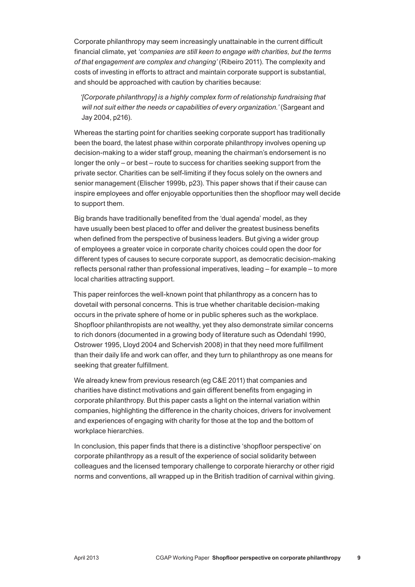Corporate philanthropy may seem increasingly unattainable in the current difficult financial climate, yet *'companies are still keen to engage with charities, but the terms of that engagement are complex and changing'* (Ribeiro 2011). The complexity and costs of investing in efforts to attract and maintain corporate support is substantial, and should be approached with caution by charities because:

*'[Corporate philanthropy] is a highly complex form of relationship fundraising that will not suit either the needs or capabilities of every organization.'* (Sargeant and Jay 2004, p216).

Whereas the starting point for charities seeking corporate support has traditionally been the board, the latest phase within corporate philanthropy involves opening up decision-making to a wider staff group, meaning the chairman's endorsement is no longer the only – or best – route to success for charities seeking support from the private sector. Charities can be self‑limiting if they focus solely on the owners and senior management (Elischer 1999b, p23). This paper shows that if their cause can inspire employees and offer enjoyable opportunities then the shopfloor may well decide to support them.

Big brands have traditionally benefited from the 'dual agenda' model, as they have usually been best placed to offer and deliver the greatest business benefits when defined from the perspective of business leaders. But giving a wider group of employees a greater voice in corporate charity choices could open the door for different types of causes to secure corporate support, as democratic decision-making reflects personal rather than professional imperatives, leading – for example – to more local charities attracting support.

This paper reinforces the well-known point that philanthropy as a concern has to dovetail with personal concerns. This is true whether charitable decision-making occurs in the private sphere of home or in public spheres such as the workplace. Shopfloor philanthropists are not wealthy, yet they also demonstrate similar concerns to rich donors (documented in a growing body of literature such as Odendahl 1990, Ostrower 1995, Lloyd 2004 and Schervish 2008) in that they need more fulfillment than their daily life and work can offer, and they turn to philanthropy as one means for seeking that greater fulfillment.

We already knew from previous research (eg C&E 2011) that companies and charities have distinct motivations and gain different benefits from engaging in corporate philanthropy. But this paper casts a light on the internal variation within companies, highlighting the difference in the charity choices, drivers for involvement and experiences of engaging with charity for those at the top and the bottom of workplace hierarchies.

In conclusion, this paper finds that there is a distinctive 'shopfloor perspective' on corporate philanthropy as a result of the experience of social solidarity between colleagues and the licensed temporary challenge to corporate hierarchy or other rigid norms and conventions, all wrapped up in the British tradition of carnival within giving.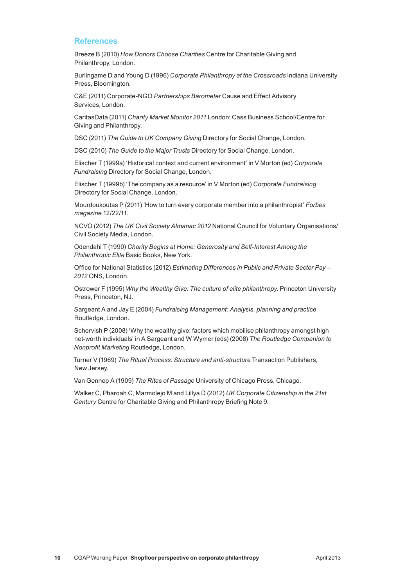#### **References**

Breeze B (2010) *How Donors Choose Charities* Centre for Charitable Giving and Philanthropy, London.

Burlingame D and Young D (1996) *Corporate Philanthropy at the Crossroads* Indiana University Press, Bloomington.

C&E (2011) Corporate‑NGO *Partnerships Barometer* Cause and Effect Advisory Services, London.

CaritasData (2011) *Charity Market Monitor 2011* London: Cass Business School/Centre for Giving and Philanthropy.

DSC (2011) *The Guide to UK Company Giving* Directory for Social Change, London.

DSC (2010) *The Guide to the Major Trusts* Directory for Social Change, London.

Elischer T (1999a) 'Historical context and current environment' in V Morton (ed) *Corporate Fundraising* Directory for Social Change, London.

Elischer T (1999b) 'The company as a resource' in V Morton (ed) *Corporate Fundraising* Directory for Social Change, London.

Mourdoukoutas P (2011) 'How to turn every corporate member into a philanthropist' *Forbes magazine* 12/22/11.

NCVO (2012) *The UK Civil Society Almanac 2012* National Council for Voluntary Organisations/ Civil Society Media, London.

Odendahl T (1990) *Charity Begins at Home: Generosity and Self‑Interest Among the Philanthropic Elite* Basic Books, New York.

Office for National Statistics (2012) *Estimating Differences in Public and Private Sector Pay – 2012* ONS, London.

Ostrower F (1995) *Why the Wealthy Give: The culture of elite philanthropy.* Princeton University Press, Princeton, NJ.

Sargeant A and Jay E (2004) *Fundraising Management: Analysis, planning and practice* Routledge, London.

Schervish P (2008) 'Why the wealthy give: factors which mobilise philanthropy amongst high net‑worth individuals' in A Sargeant and W Wymer (eds) (2008) *The Routledge Companion to Nonprofit Marketing* Routledge, London.

Turner V (1969) *The Ritual Process: Structure and anti‑structure* Transaction Publishers, New Jersey.

Van Gennep A (1909) *The Rites of Passage* University of Chicago Press, Chicago.

Walker C, Pharoah C, Marmolejo M and Lillya D (2012) *UK Corporate Citizenship in the 21st Century* Centre for Charitable Giving and Philanthropy Briefing Note 9.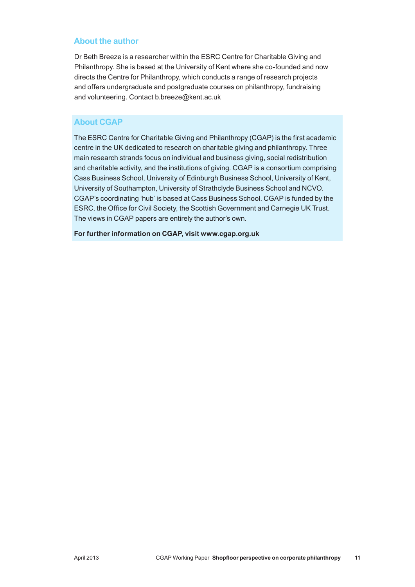#### **About the author**

Dr Beth Breeze is a researcher within the ESRC Centre for Charitable Giving and Philanthropy. She is based at the University of Kent where she co-founded and now directs the Centre for Philanthropy, which conducts a range of research projects and offers undergraduate and postgraduate courses on philanthropy, fundraising and volunteering. Contact b.breeze@kent.ac.uk

# **About CGAP**

The ESRC Centre for Charitable Giving and Philanthropy (CGAP) is the first academic centre in the UK dedicated to research on charitable giving and philanthropy. Three main research strands focus on individual and business giving, social redistribution and charitable activity, and the institutions of giving. CGAP is a consortium comprising Cass Business School, University of Edinburgh Business School, University of Kent, University of Southampton, University of Strathclyde Business School and NCVO. CGAP's coordinating 'hub' is based at Cass Business School. CGAP is funded by the ESRC, the Office for Civil Society, the Scottish Government and Carnegie UK Trust. The views in CGAP papers are entirely the author's own.

**For further information on CGAP, visit www.cgap.org.uk**